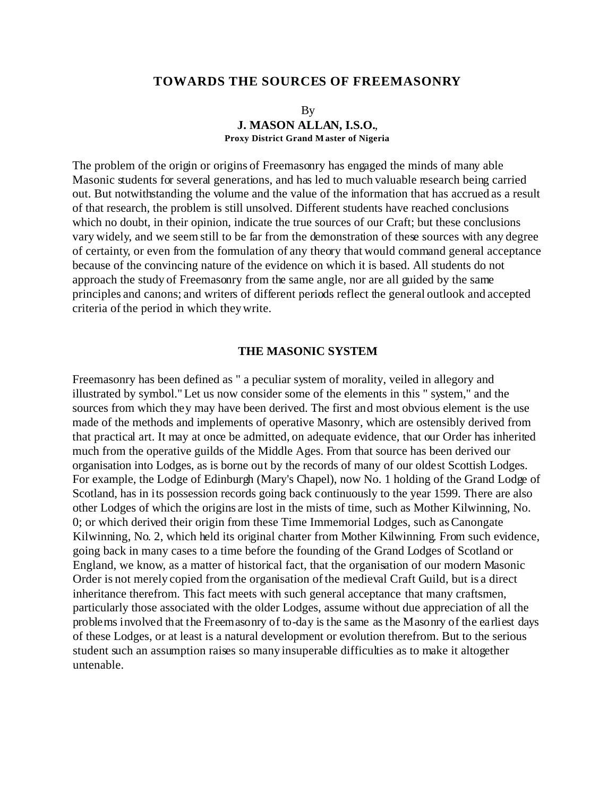# **TOWARDS THE SOURCES OF FREEMASONRY**

## By **J. MASON ALLAN, I.S.O.**, **Proxy District Grand Master of Nigeria**

The problem of the origin or origins of Freemasonry has engaged the minds of many able Masonic students for several generations, and has led to much valuable research being carried out. But notwithstanding the volume and the value of the information that has accrued as a result of that research, the problem is still unsolved. Different students have reached conclusions which no doubt, in their opinion, indicate the true sources of our Craft; but these conclusions vary widely, and we seem still to be far from the demonstration of these sources with any degree of certainty, or even from the formulation of any theory that would command general acceptance because of the convincing nature of the evidence on which it is based. All students do not approach the study of Freemasonry from the same angle, nor are all guided by the same principles and canons; and writers of different periods reflect the general outlook and accepted criteria of the period in which they write.

## **THE MASONIC SYSTEM**

Freemasonry has been defined as " a peculiar system of morality, veiled in allegory and illustrated by symbol." Let us now consider some of the elements in this " system," and the sources from which they may have been derived. The first and most obvious element is the use made of the methods and implements of operative Masonry, which are ostensibly derived from that practical art. It may at once be admitted, on adequate evidence, that our Order has inherited much from the operative guilds of the Middle Ages. From that source has been derived our organisation into Lodges, as is borne out by the records of many of our oldest Scottish Lodges. For example, the Lodge of Edinburgh (Mary's Chapel), now No. 1 holding of the Grand Lodge of Scotland, has in its possession records going back continuously to the year 1599. There are also other Lodges of which the origins are lost in the mists of time, such as Mother Kilwinning, No. 0; or which derived their origin from these Time Immemorial Lodges, such as Canongate Kilwinning, No. 2, which held its original charter from Mother Kilwinning. From such evidence, going back in many cases to a time before the founding of the Grand Lodges of Scotland or England, we know, as a matter of historical fact, that the organisation of our modern Masonic Order is not merely copied from the organisation of the medieval Craft Guild, but is a direct inheritance therefrom. This fact meets with such general acceptance that many craftsmen, particularly those associated with the older Lodges, assume without due appreciation of all the problems involved that the Freemasonry of to-day is the same as the Masonry of the earliest days of these Lodges, or at least is a natural development or evolution therefrom. But to the serious student such an assumption raises so many insuperable difficulties as to make it altogether untenable.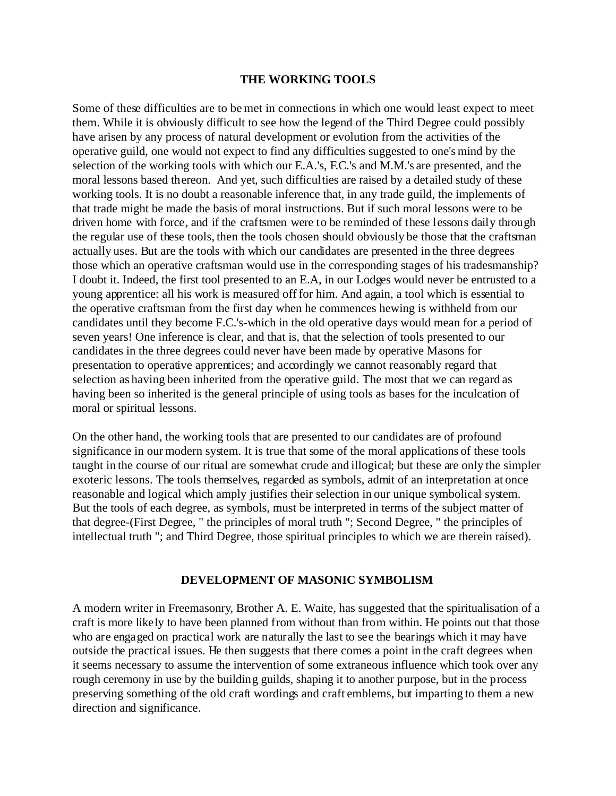## **THE WORKING TOOLS**

Some of these difficulties are to be met in connections in which one would least expect to meet them. While it is obviously difficult to see how the legend of the Third Degree could possibly have arisen by any process of natural development or evolution from the activities of the operative guild, one would not expect to find any difficulties suggested to one's mind by the selection of the working tools with which our E.A.'s, F.C.'s and M.M.'s are presented, and the moral lessons based thereon. And yet, such difficulties are raised by a detailed study of these working tools. It is no doubt a reasonable inference that, in any trade guild, the implements of that trade might be made the basis of moral instructions. But if such moral lessons were to be driven home with force, and if the craftsmen were to be reminded of these lessons daily through the regular use of these tools, then the tools chosen should obviously be those that the craftsman actually uses. But are the tools with which our candidates are presented in the three degrees those which an operative craftsman would use in the corresponding stages of his tradesmanship? I doubt it. Indeed, the first tool presented to an E.A, in our Lodges would never be entrusted to a young apprentice: all his work is measured off for him. And again, a tool which is essential to the operative craftsman from the first day when he commences hewing is withheld from our candidates until they become F.C.'s-which in the old operative days would mean for a period of seven years! One inference is clear, and that is, that the selection of tools presented to our candidates in the three degrees could never have been made by operative Masons for presentation to operative apprentices; and accordingly we cannot reasonably regard that selection as having been inherited from the operative guild. The most that we can regard as having been so inherited is the general principle of using tools as bases for the inculcation of moral or spiritual lessons.

On the other hand, the working tools that are presented to our candidates are of profound significance in our modern system. It is true that some of the moral applications of these tools taught in the course of our ritual are somewhat crude and illogical; but these are only the simpler exoteric lessons. The tools themselves, regarded as symbols, admit of an interpretation at once reasonable and logical which amply justifies their selection in our unique symbolical system. But the tools of each degree, as symbols, must be interpreted in terms of the subject matter of that degree-(First Degree, " the principles of moral truth "; Second Degree, " the principles of intellectual truth "; and Third Degree, those spiritual principles to which we are therein raised).

### **DEVELOPMENT OF MASONIC SYMBOLISM**

A modern writer in Freemasonry, Brother A. E. Waite, has suggested that the spiritualisation of a craft is more likely to have been planned from without than from within. He points out that those who are engaged on practical work are naturally the last to see the bearings which it may have outside the practical issues. He then suggests that there comes a point in the craft degrees when it seems necessary to assume the intervention of some extraneous influence which took over any rough ceremony in use by the building guilds, shaping it to another purpose, but in the process preserving something of the old craft wordings and craft emblems, but imparting to them a new direction and significance.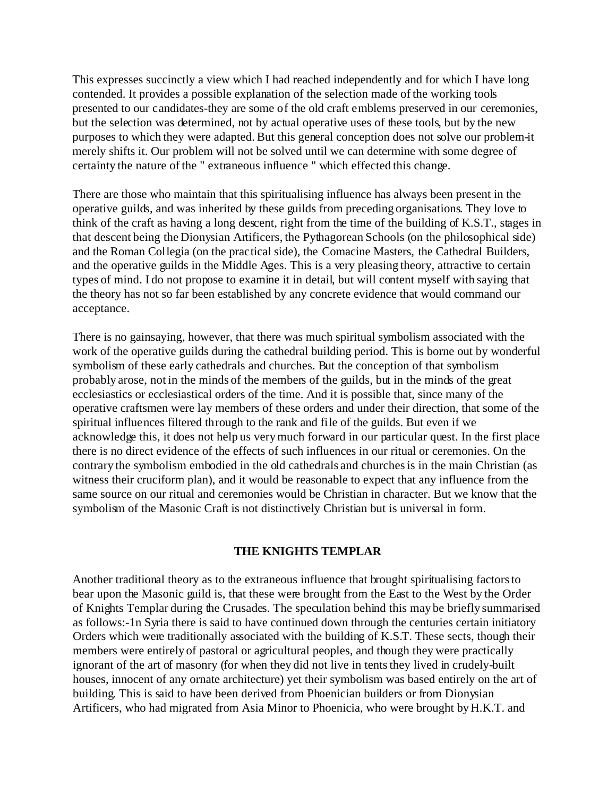This expresses succinctly a view which I had reached independently and for which I have long contended. It provides a possible explanation of the selection made of the working tools presented to our candidates-they are some of the old craft emblems preserved in our ceremonies, but the selection was determined, not by actual operative uses of these tools, but by the new purposes to which they were adapted. But this general conception does not solve our problem-it merely shifts it. Our problem will not be solved until we can determine with some degree of certainty the nature of the " extraneous influence " which effected this change.

There are those who maintain that this spiritualising influence has always been present in the operative guilds, and was inherited by these guilds from preceding organisations. They love to think of the craft as having a long descent, right from the time of the building of K.S.T., stages in that descent being the Dionysian Artificers, the Pythagorean Schools (on the philosophical side) and the Roman Collegia (on the practical side), the Comacine Masters, the Cathedral Builders, and the operative guilds in the Middle Ages. This is a very pleasing theory, attractive to certain types of mind. I do not propose to examine it in detail, but will content myself with saying that the theory has not so far been established by any concrete evidence that would command our acceptance.

There is no gainsaying, however, that there was much spiritual symbolism associated with the work of the operative guilds during the cathedral building period. This is borne out by wonderful symbolism of these early cathedrals and churches. But the conception of that symbolism probably arose, not in the minds of the members of the guilds, but in the minds of the great ecclesiastics or ecclesiastical orders of the time. And it is possible that, since many of the operative craftsmen were lay members of these orders and under their direction, that some of the spiritual influences filtered through to the rank and file of the guilds. But even if we acknowledge this, it does not help us very much forward in our particular quest. In the first place there is no direct evidence of the effects of such influences in our ritual or ceremonies. On the contrary the symbolism embodied in the old cathedrals and churches is in the main Christian (as witness their cruciform plan), and it would be reasonable to expect that any influence from the same source on our ritual and ceremonies would be Christian in character. But we know that the symbolism of the Masonic Craft is not distinctively Christian but is universal in form.

# **THE KNIGHTS TEMPLAR**

Another traditional theory as to the extraneous influence that brought spiritualising factors to bear upon the Masonic guild is, that these were brought from the East to the West by the Order of Knights Templar during the Crusades. The speculation behind this may be briefly summarised as follows:-1n Syria there is said to have continued down through the centuries certain initiatory Orders which were traditionally associated with the building of K.S.T. These sects, though their members were entirely of pastoral or agricultural peoples, and though they were practically ignorant of the art of masonry (for when they did not live in tents they lived in crudely-built houses, innocent of any ornate architecture) yet their symbolism was based entirely on the art of building. This is said to have been derived from Phoenician builders or from Dionysian Artificers, who had migrated from Asia Minor to Phoenicia, who were brought by H.K.T. and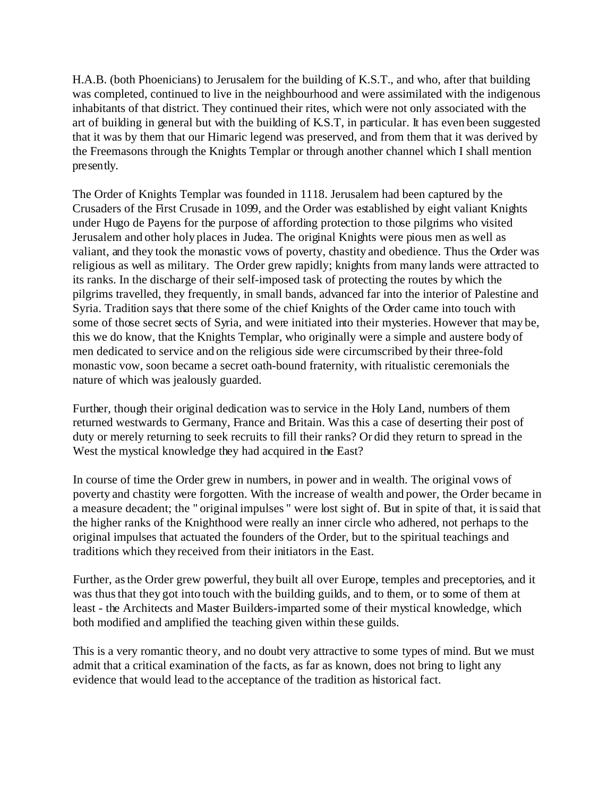H.A.B. (both Phoenicians) to Jerusalem for the building of K.S.T., and who, after that building was completed, continued to live in the neighbourhood and were assimilated with the indigenous inhabitants of that district. They continued their rites, which were not only associated with the art of building in general but with the building of K.S.T, in particular. It has even been suggested that it was by them that our Himaric legend was preserved, and from them that it was derived by the Freemasons through the Knights Templar or through another channel which I shall mention presently.

The Order of Knights Templar was founded in 1118. Jerusalem had been captured by the Crusaders of the First Crusade in 1099, and the Order was established by eight valiant Knights under Hugo de Payens for the purpose of affording protection to those pilgrims who visited Jerusalem and other holy places in Judea. The original Knights were pious men as well as valiant, and they took the monastic vows of poverty, chastity and obedience. Thus the Order was religious as well as military. The Order grew rapidly; knights from many lands were attracted to its ranks. In the discharge of their self-imposed task of protecting the routes by which the pilgrims travelled, they frequently, in small bands, advanced far into the interior of Palestine and Syria. Tradition says that there some of the chief Knights of the Order came into touch with some of those secret sects of Syria, and were initiated into their mysteries. However that may be, this we do know, that the Knights Templar, who originally were a simple and austere body of men dedicated to service and on the religious side were circumscribed by their three-fold monastic vow, soon became a secret oath-bound fraternity, with ritualistic ceremonials the nature of which was jealously guarded.

Further, though their original dedication was to service in the Holy Land, numbers of them returned westwards to Germany, France and Britain. Was this a case of deserting their post of duty or merely returning to seek recruits to fill their ranks? Or did they return to spread in the West the mystical knowledge they had acquired in the East?

In course of time the Order grew in numbers, in power and in wealth. The original vows of poverty and chastity were forgotten. With the increase of wealth and power, the Order became in a measure decadent; the " original impulses " were lost sight of. But in spite of that, it is said that the higher ranks of the Knighthood were really an inner circle who adhered, not perhaps to the original impulses that actuated the founders of the Order, but to the spiritual teachings and traditions which they received from their initiators in the East.

Further, as the Order grew powerful, they built all over Europe, temples and preceptories, and it was thus that they got into touch with the building guilds, and to them, or to some of them at least - the Architects and Master Builders-imparted some of their mystical knowledge, which both modified and amplified the teaching given within these guilds.

This is a very romantic theory, and no doubt very attractive to some types of mind. But we must admit that a critical examination of the facts, as far as known, does not bring to light any evidence that would lead to the acceptance of the tradition as historical fact.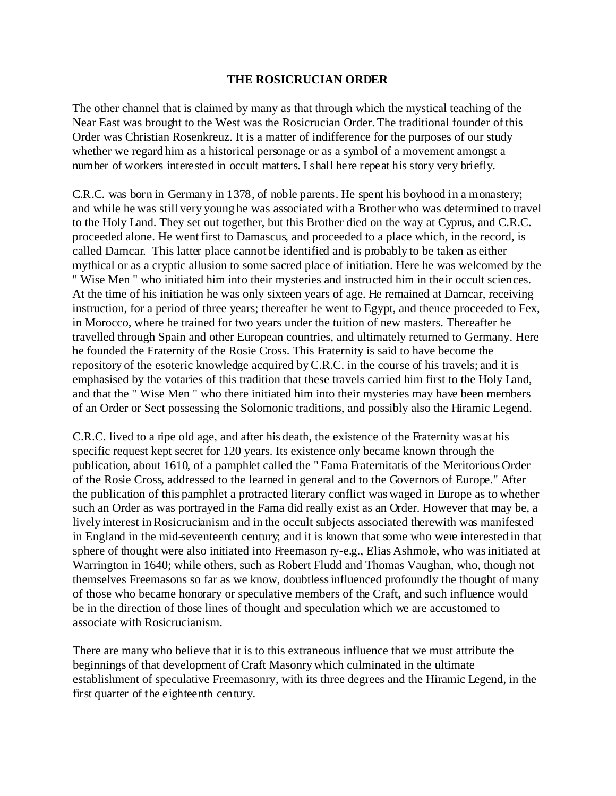# **THE ROSICRUCIAN ORDER**

The other channel that is claimed by many as that through which the mystical teaching of the Near East was brought to the West was the Rosicrucian Order. The traditional founder of this Order was Christian Rosenkreuz. It is a matter of indifference for the purposes of our study whether we regard him as a historical personage or as a symbol of a movement amongst a number of workers interested in occult matters. I shall here repeat his story very briefly.

C.R.C. was born in Germany in 1378, of noble parents. He spent his boyhood in a monastery; and while he was still very young he was associated with a Brother who was determined to travel to the Holy Land. They set out together, but this Brother died on the way at Cyprus, and C.R.C. proceeded alone. He went first to Damascus, and proceeded to a place which, in the record, is called Damcar. This latter place cannot be identified and is probably to be taken as either mythical or as a cryptic allusion to some sacred place of initiation. Here he was welcomed by the " Wise Men " who initiated him into their mysteries and instructed him in their occult sciences. At the time of his initiation he was only sixteen years of age. He remained at Damcar, receiving instruction, for a period of three years; thereafter he went to Egypt, and thence proceeded to Fex, in Morocco, where he trained for two years under the tuition of new masters. Thereafter he travelled through Spain and other European countries, and ultimately returned to Germany. Here he founded the Fraternity of the Rosie Cross. This Fraternity is said to have become the repository of the esoteric knowledge acquired by C.R.C. in the course of his travels; and it is emphasised by the votaries of this tradition that these travels carried him first to the Holy Land, and that the " Wise Men " who there initiated him into their mysteries may have been members of an Order or Sect possessing the Solomonic traditions, and possibly also the Hiramic Legend.

C.R.C. lived to a ripe old age, and after his death, the existence of the Fraternity was at his specific request kept secret for 120 years. Its existence only became known through the publication, about 1610, of a pamphlet called the " Fama Fraternitatis of the Meritorious Order of the Rosie Cross, addressed to the learned in general and to the Governors of Europe." After the publication of this pamphlet a protracted literary conflict was waged in Europe as to whether such an Order as was portrayed in the Fama did really exist as an Order. However that may be, a lively interest in Rosicrucianism and in the occult subjects associated therewith was manifested in England in the mid-seventeenth century; and it is known that some who were interested in that sphere of thought were also initiated into Freemason ry-e.g., Elias Ashmole, who was initiated at Warrington in 1640; while others, such as Robert Fludd and Thomas Vaughan, who, though not themselves Freemasons so far as we know, doubtless influenced profoundly the thought of many of those who became honorary or speculative members of the Craft, and such influence would be in the direction of those lines of thought and speculation which we are accustomed to associate with Rosicrucianism.

There are many who believe that it is to this extraneous influence that we must attribute the beginnings of that development of Craft Masonry which culminated in the ultimate establishment of speculative Freemasonry, with its three degrees and the Hiramic Legend, in the first quarter of the eighteenth century.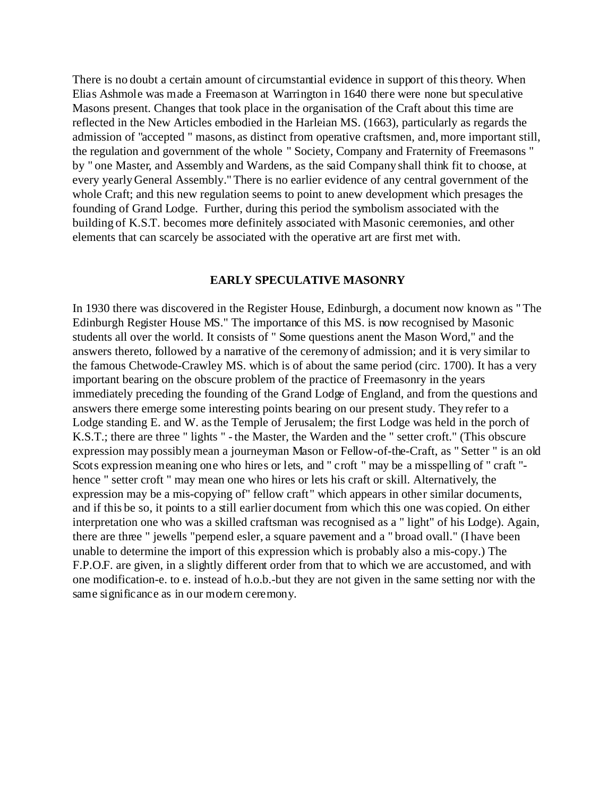There is no doubt a certain amount of circumstantial evidence in support of this theory. When Elias Ashmole was made a Freemason at Warrington in 1640 there were none but speculative Masons present. Changes that took place in the organisation of the Craft about this time are reflected in the New Articles embodied in the Harleian MS. (1663), particularly as regards the admission of "accepted " masons, as distinct from operative craftsmen, and, more important still, the regulation and government of the whole " Society, Company and Fraternity of Freemasons " by " one Master, and Assembly and Wardens, as the said Company shall think fit to choose, at every yearly General Assembly." There is no earlier evidence of any central government of the whole Craft; and this new regulation seems to point to anew development which presages the founding of Grand Lodge. Further, during this period the symbolism associated with the building of K.S.T. becomes more definitely associated with Masonic ceremonies, and other elements that can scarcely be associated with the operative art are first met with.

#### **EARLY SPECULATIVE MASONRY**

In 1930 there was discovered in the Register House, Edinburgh, a document now known as " The Edinburgh Register House MS." The importance of this MS. is now recognised by Masonic students all over the world. It consists of " Some questions anent the Mason Word," and the answers thereto, followed by a narrative of the ceremony of admission; and it is very similar to the famous Chetwode-Crawley MS. which is of about the same period (circ. 1700). It has a very important bearing on the obscure problem of the practice of Freemasonry in the years immediately preceding the founding of the Grand Lodge of England, and from the questions and answers there emerge some interesting points bearing on our present study. They refer to a Lodge standing E. and W. as the Temple of Jerusalem; the first Lodge was held in the porch of K.S.T.; there are three " lights " - the Master, the Warden and the " setter croft." (This obscure expression may possibly mean a journeyman Mason or Fellow-of-the-Craft, as " Setter " is an old Scots expression meaning one who hires or lets, and " croft " may be a misspelling of " craft " hence " setter croft " may mean one who hires or lets his craft or skill. Alternatively, the expression may be a mis-copying of" fellow craft" which appears in other similar documents, and if this be so, it points to a still earlier document from which this one was copied. On either interpretation one who was a skilled craftsman was recognised as a " light" of his Lodge). Again, there are three " jewells "perpend esler, a square pavement and a " broad ovall." (I have been unable to determine the import of this expression which is probably also a mis-copy.) The F.P.O.F. are given, in a slightly different order from that to which we are accustomed, and with one modification-e. to e. instead of h.o.b.-but they are not given in the same setting nor with the same significance as in our modern ceremony.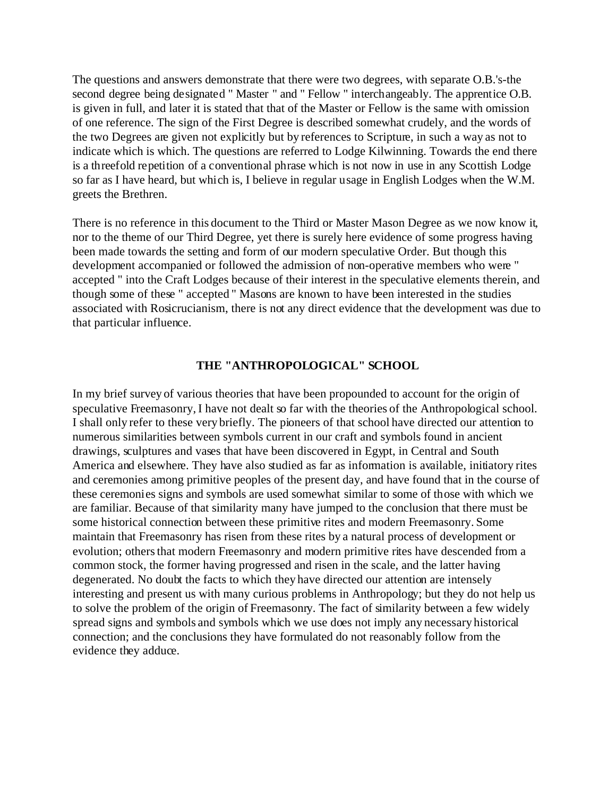The questions and answers demonstrate that there were two degrees, with separate O.B.'s-the second degree being designated " Master " and " Fellow " interchangeably. The apprentice O.B. is given in full, and later it is stated that that of the Master or Fellow is the same with omission of one reference. The sign of the First Degree is described somewhat crudely, and the words of the two Degrees are given not explicitly but by references to Scripture, in such a way as not to indicate which is which. The questions are referred to Lodge Kilwinning. Towards the end there is a threefold repetition of a conventional phrase which is not now in use in any Scottish Lodge so far as I have heard, but which is, I believe in regular usage in English Lodges when the W.M. greets the Brethren.

There is no reference in this document to the Third or Master Mason Degree as we now know it, nor to the theme of our Third Degree, yet there is surely here evidence of some progress having been made towards the setting and form of our modern speculative Order. But though this development accompanied or followed the admission of non-operative members who were " accepted " into the Craft Lodges because of their interest in the speculative elements therein, and though some of these " accepted " Masons are known to have been interested in the studies associated with Rosicrucianism, there is not any direct evidence that the development was due to that particular influence.

# **THE "ANTHROPOLOGICAL" SCHOOL**

In my brief survey of various theories that have been propounded to account for the origin of speculative Freemasonry, I have not dealt so far with the theories of the Anthropological school. I shall only refer to these very briefly. The pioneers of that school have directed our attention to numerous similarities between symbols current in our craft and symbols found in ancient drawings, sculptures and vases that have been discovered in Egypt, in Central and South America and elsewhere. They have also studied as far as information is available, initiatory rites and ceremonies among primitive peoples of the present day, and have found that in the course of these ceremonies signs and symbols are used somewhat similar to some of those with which we are familiar. Because of that similarity many have jumped to the conclusion that there must be some historical connection between these primitive rites and modern Freemasonry. Some maintain that Freemasonry has risen from these rites by a natural process of development or evolution; others that modern Freemasonry and modern primitive rites have descended from a common stock, the former having progressed and risen in the scale, and the latter having degenerated. No doubt the facts to which they have directed our attention are intensely interesting and present us with many curious problems in Anthropology; but they do not help us to solve the problem of the origin of Freemasonry. The fact of similarity between a few widely spread signs and symbols and symbols which we use does not imply any necessary historical connection; and the conclusions they have formulated do not reasonably follow from the evidence they adduce.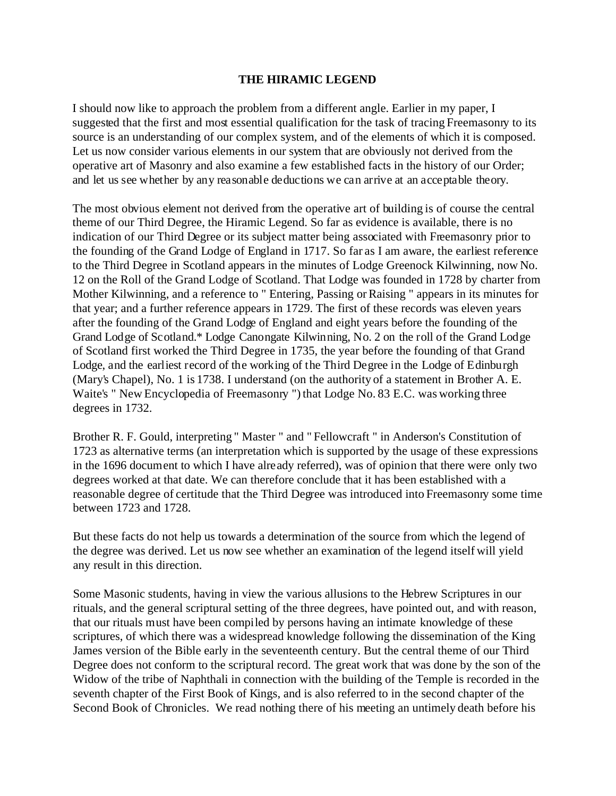# **THE HIRAMIC LEGEND**

I should now like to approach the problem from a different angle. Earlier in my paper, I suggested that the first and most essential qualification for the task of tracing Freemasonry to its source is an understanding of our complex system, and of the elements of which it is composed. Let us now consider various elements in our system that are obviously not derived from the operative art of Masonry and also examine a few established facts in the history of our Order; and let us see whether by any reasonable deductions we can arrive at an acceptable theory.

The most obvious element not derived from the operative art of building is of course the central theme of our Third Degree, the Hiramic Legend. So far as evidence is available, there is no indication of our Third Degree or its subject matter being associated with Freemasonry prior to the founding of the Grand Lodge of England in 1717. So far as I am aware, the earliest reference to the Third Degree in Scotland appears in the minutes of Lodge Greenock Kilwinning, now No. 12 on the Roll of the Grand Lodge of Scotland. That Lodge was founded in 1728 by charter from Mother Kilwinning, and a reference to " Entering, Passing or Raising " appears in its minutes for that year; and a further reference appears in 1729. The first of these records was eleven years after the founding of the Grand Lodge of England and eight years before the founding of the Grand Lodge of Scotland.\* Lodge Canongate Kilwinning, No. 2 on the roll of the Grand Lodge of Scotland first worked the Third Degree in 1735, the year before the founding of that Grand Lodge, and the earliest record of the working of the Third Degree in the Lodge of Edinburgh (Mary's Chapel), No. 1 is 1738. I understand (on the authority of a statement in Brother A. E. Waite's " New Encyclopedia of Freemasonry ") that Lodge No. 83 E.C. was working three degrees in 1732.

Brother R. F. Gould, interpreting " Master " and " Fellowcraft " in Anderson's Constitution of 1723 as alternative terms (an interpretation which is supported by the usage of these expressions in the 1696 document to which I have already referred), was of opinion that there were only two degrees worked at that date. We can therefore conclude that it has been established with a reasonable degree of certitude that the Third Degree was introduced into Freemasonry some time between 1723 and 1728.

But these facts do not help us towards a determination of the source from which the legend of the degree was derived. Let us now see whether an examination of the legend itself will yield any result in this direction.

Some Masonic students, having in view the various allusions to the Hebrew Scriptures in our rituals, and the general scriptural setting of the three degrees, have pointed out, and with reason, that our rituals must have been compiled by persons having an intimate knowledge of these scriptures, of which there was a widespread knowledge following the dissemination of the King James version of the Bible early in the seventeenth century. But the central theme of our Third Degree does not conform to the scriptural record. The great work that was done by the son of the Widow of the tribe of Naphthali in connection with the building of the Temple is recorded in the seventh chapter of the First Book of Kings, and is also referred to in the second chapter of the Second Book of Chronicles. We read nothing there of his meeting an untimely death before his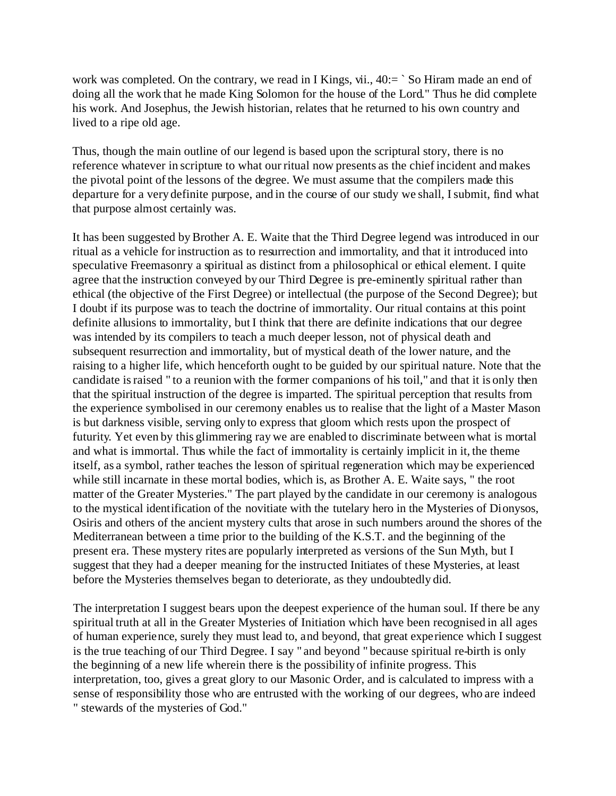work was completed. On the contrary, we read in I Kings, vii.,  $40:=$  `So Hiram made an end of doing all the work that he made King Solomon for the house of the Lord." Thus he did complete his work. And Josephus, the Jewish historian, relates that he returned to his own country and lived to a ripe old age.

Thus, though the main outline of our legend is based upon the scriptural story, there is no reference whatever in scripture to what our ritual now presents as the chief incident and makes the pivotal point of the lessons of the degree. We must assume that the compilers made this departure for a very definite purpose, and in the course of our study we shall, I submit, find what that purpose almost certainly was.

It has been suggested by Brother A. E. Waite that the Third Degree legend was introduced in our ritual as a vehicle for instruction as to resurrection and immortality, and that it introduced into speculative Freemasonry a spiritual as distinct from a philosophical or ethical element. I quite agree that the instruction conveyed by our Third Degree is pre-eminently spiritual rather than ethical (the objective of the First Degree) or intellectual (the purpose of the Second Degree); but I doubt if its purpose was to teach the doctrine of immortality. Our ritual contains at this point definite allusions to immortality, but I think that there are definite indications that our degree was intended by its compilers to teach a much deeper lesson, not of physical death and subsequent resurrection and immortality, but of mystical death of the lower nature, and the raising to a higher life, which henceforth ought to be guided by our spiritual nature. Note that the candidate is raised " to a reunion with the former companions of his toil," and that it is only then that the spiritual instruction of the degree is imparted. The spiritual perception that results from the experience symbolised in our ceremony enables us to realise that the light of a Master Mason is but darkness visible, serving only to express that gloom which rests upon the prospect of futurity. Yet even by this glimmering ray we are enabled to discriminate between what is mortal and what is immortal. Thus while the fact of immortality is certainly implicit in it, the theme itself, as a symbol, rather teaches the lesson of spiritual regeneration which may be experienced while still incarnate in these mortal bodies, which is, as Brother A. E. Waite says, " the root matter of the Greater Mysteries." The part played by the candidate in our ceremony is analogous to the mystical identification of the novitiate with the tutelary hero in the Mysteries of Dionysos, Osiris and others of the ancient mystery cults that arose in such numbers around the shores of the Mediterranean between a time prior to the building of the K.S.T. and the beginning of the present era. These mystery rites are popularly interpreted as versions of the Sun Myth, but I suggest that they had a deeper meaning for the instructed Initiates of these Mysteries, at least before the Mysteries themselves began to deteriorate, as they undoubtedly did.

The interpretation I suggest bears upon the deepest experience of the human soul. If there be any spiritual truth at all in the Greater Mysteries of Initiation which have been recognised in all ages of human experience, surely they must lead to, and beyond, that great experience which I suggest is the true teaching of our Third Degree. I say " and beyond " because spiritual re-birth is only the beginning of a new life wherein there is the possibility of infinite progress. This interpretation, too, gives a great glory to our Masonic Order, and is calculated to impress with a sense of responsibility those who are entrusted with the working of our degrees, who are indeed " stewards of the mysteries of God."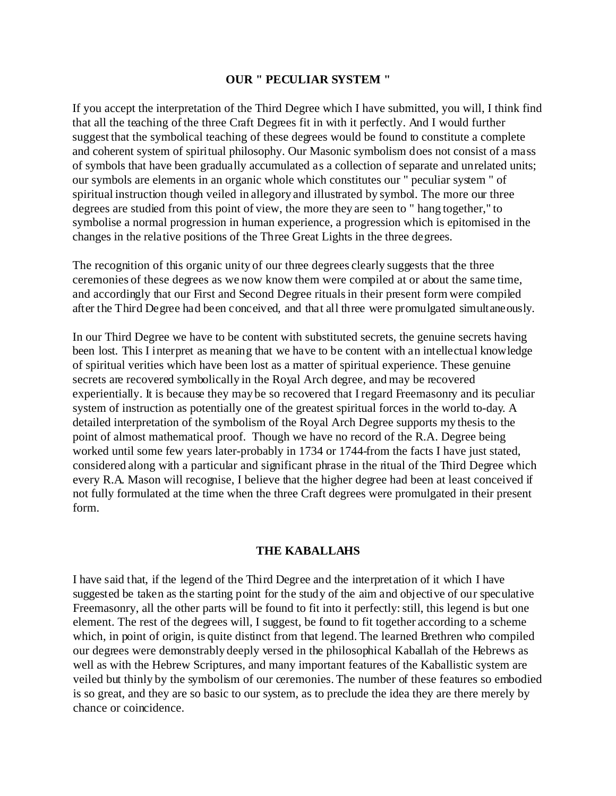# **OUR " PECULIAR SYSTEM "**

If you accept the interpretation of the Third Degree which I have submitted, you will, I think find that all the teaching of the three Craft Degrees fit in with it perfectly. And I would further suggest that the symbolical teaching of these degrees would be found to constitute a complete and coherent system of spiritual philosophy. Our Masonic symbolism does not consist of a mass of symbols that have been gradually accumulated as a collection of separate and unrelated units; our symbols are elements in an organic whole which constitutes our " peculiar system " of spiritual instruction though veiled in allegory and illustrated by symbol. The more our three degrees are studied from this point of view, the more they are seen to " hang together," to symbolise a normal progression in human experience, a progression which is epitomised in the changes in the relative positions of the Three Great Lights in the three degrees.

The recognition of this organic unity of our three degrees clearly suggests that the three ceremonies of these degrees as we now know them were compiled at or about the same time, and accordingly that our First and Second Degree rituals in their present form were compiled after the Third Degree had been conceived, and that all three were promulgated simultaneously.

In our Third Degree we have to be content with substituted secrets, the genuine secrets having been lost. This I interpret as meaning that we have to be content with an intellectual knowledge of spiritual verities which have been lost as a matter of spiritual experience. These genuine secrets are recovered symbolically in the Royal Arch degree, and may be recovered experientially. It is because they may be so recovered that I regard Freemasonry and its peculiar system of instruction as potentially one of the greatest spiritual forces in the world to-day. A detailed interpretation of the symbolism of the Royal Arch Degree supports my thesis to the point of almost mathematical proof. Though we have no record of the R.A. Degree being worked until some few years later-probably in 1734 or 1744-from the facts I have just stated, considered along with a particular and significant phrase in the ritual of the Third Degree which every R.A. Mason will recognise, I believe that the higher degree had been at least conceived if not fully formulated at the time when the three Craft degrees were promulgated in their present form.

## **THE KABALLAHS**

I have said that, if the legend of the Third Degree and the interpretation of it which I have suggested be taken as the starting point for the study of the aim and objective of our speculative Freemasonry, all the other parts will be found to fit into it perfectly: still, this legend is but one element. The rest of the degrees will, I suggest, be found to fit together according to a scheme which, in point of origin, is quite distinct from that legend. The learned Brethren who compiled our degrees were demonstrably deeply versed in the philosophical Kaballah of the Hebrews as well as with the Hebrew Scriptures, and many important features of the Kaballistic system are veiled but thinly by the symbolism of our ceremonies. The number of these features so embodied is so great, and they are so basic to our system, as to preclude the idea they are there merely by chance or coincidence.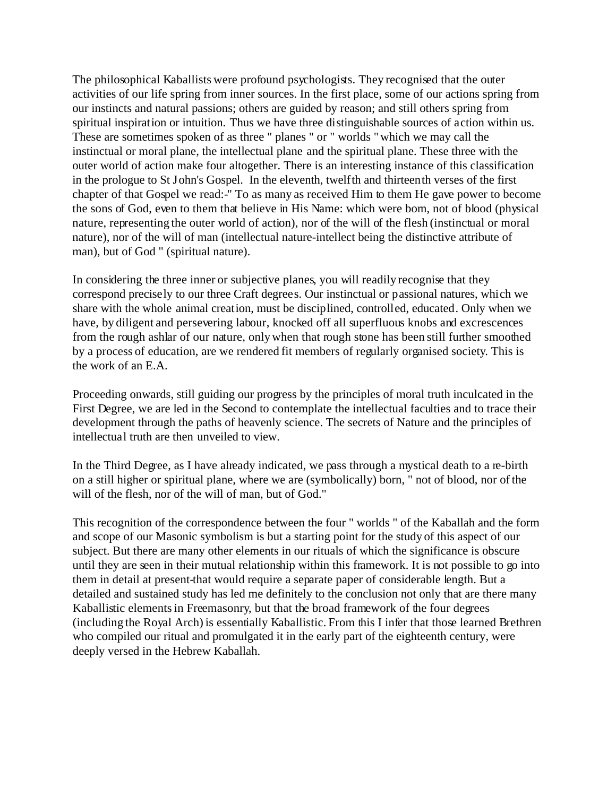The philosophical Kaballists were profound psychologists. They recognised that the outer activities of our life spring from inner sources. In the first place, some of our actions spring from our instincts and natural passions; others are guided by reason; and still others spring from spiritual inspiration or intuition. Thus we have three distinguishable sources of action within us. These are sometimes spoken of as three " planes " or " worlds " which we may call the instinctual or moral plane, the intellectual plane and the spiritual plane. These three with the outer world of action make four altogether. There is an interesting instance of this classification in the prologue to St John's Gospel. In the eleventh, twelfth and thirteenth verses of the first chapter of that Gospel we read:-" To as many as received Him to them He gave power to become the sons of God, even to them that believe in His Name: which were born, not of blood (physical nature, representing the outer world of action), nor of the will of the flesh (instinctual or moral nature), nor of the will of man (intellectual nature-intellect being the distinctive attribute of man), but of God " (spiritual nature).

In considering the three inner or subjective planes, you will readily recognise that they correspond precisely to our three Craft degrees. Our instinctual or passional natures, which we share with the whole animal creation, must be disciplined, controlled, educated. Only when we have, by diligent and persevering labour, knocked off all superfluous knobs and excrescences from the rough ashlar of our nature, only when that rough stone has been still further smoothed by a process of education, are we rendered fit members of regularly organised society. This is the work of an E.A.

Proceeding onwards, still guiding our progress by the principles of moral truth inculcated in the First Degree, we are led in the Second to contemplate the intellectual faculties and to trace their development through the paths of heavenly science. The secrets of Nature and the principles of intellectual truth are then unveiled to view.

In the Third Degree, as I have already indicated, we pass through a mystical death to a re-birth on a still higher or spiritual plane, where we are (symbolically) born, " not of blood, nor of the will of the flesh, nor of the will of man, but of God."

This recognition of the correspondence between the four " worlds " of the Kaballah and the form and scope of our Masonic symbolism is but a starting point for the study of this aspect of our subject. But there are many other elements in our rituals of which the significance is obscure until they are seen in their mutual relationship within this framework. It is not possible to go into them in detail at present-that would require a separate paper of considerable length. But a detailed and sustained study has led me definitely to the conclusion not only that are there many Kaballistic elements in Freemasonry, but that the broad framework of the four degrees (including the Royal Arch) is essentially Kaballistic. From this I infer that those learned Brethren who compiled our ritual and promulgated it in the early part of the eighteenth century, were deeply versed in the Hebrew Kaballah.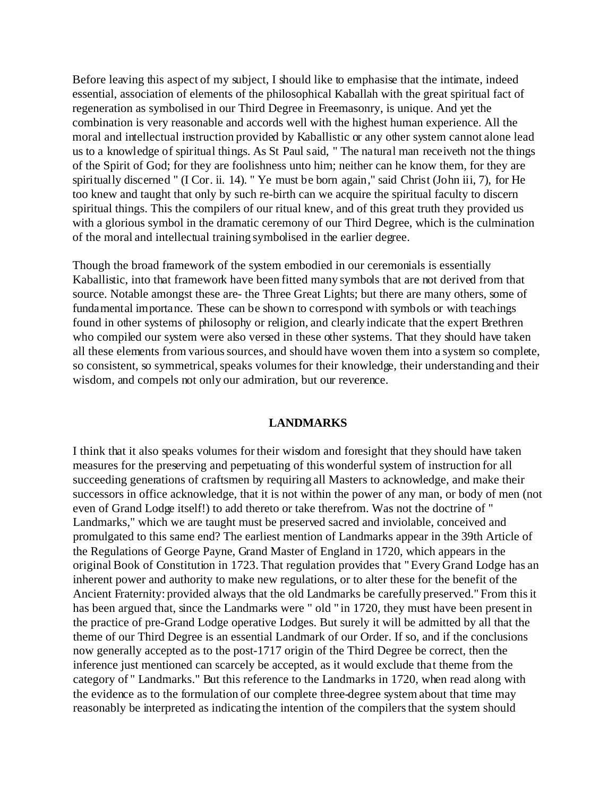Before leaving this aspect of my subject, I should like to emphasise that the intimate, indeed essential, association of elements of the philosophical Kaballah with the great spiritual fact of regeneration as symbolised in our Third Degree in Freemasonry, is unique. And yet the combination is very reasonable and accords well with the highest human experience. All the moral and intellectual instruction provided by Kaballistic or any other system cannot alone lead us to a knowledge of spiritual things. As St Paul said, " The natural man receiveth not the things of the Spirit of God; for they are foolishness unto him; neither can he know them, for they are spiritually discerned " (I Cor. ii. 14). " Ye must be born again," said Christ (John iii, 7), for He too knew and taught that only by such re-birth can we acquire the spiritual faculty to discern spiritual things. This the compilers of our ritual knew, and of this great truth they provided us with a glorious symbol in the dramatic ceremony of our Third Degree, which is the culmination of the moral and intellectual training symbolised in the earlier degree.

Though the broad framework of the system embodied in our ceremonials is essentially Kaballistic, into that framework have been fitted many symbols that are not derived from that source. Notable amongst these are- the Three Great Lights; but there are many others, some of fundamental importance. These can be shown to correspond with symbols or with teachings found in other systems of philosophy or religion, and clearly indicate that the expert Brethren who compiled our system were also versed in these other systems. That they should have taken all these elements from various sources, and should have woven them into a system so complete, so consistent, so symmetrical, speaks volumes for their knowledge, their understanding and their wisdom, and compels not only our admiration, but our reverence.

### **LANDMARKS**

I think that it also speaks volumes for their wisdom and foresight that they should have taken measures for the preserving and perpetuating of this wonderful system of instruction for all succeeding generations of craftsmen by requiring all Masters to acknowledge, and make their successors in office acknowledge, that it is not within the power of any man, or body of men (not even of Grand Lodge itself!) to add thereto or take therefrom. Was not the doctrine of " Landmarks," which we are taught must be preserved sacred and inviolable, conceived and promulgated to this same end? The earliest mention of Landmarks appear in the 39th Article of the Regulations of George Payne, Grand Master of England in 1720, which appears in the original Book of Constitution in 1723. That regulation provides that " Every Grand Lodge has an inherent power and authority to make new regulations, or to alter these for the benefit of the Ancient Fraternity: provided always that the old Landmarks be carefully preserved." From this it has been argued that, since the Landmarks were " old " in 1720, they must have been present in the practice of pre-Grand Lodge operative Lodges. But surely it will be admitted by all that the theme of our Third Degree is an essential Landmark of our Order. If so, and if the conclusions now generally accepted as to the post-1717 origin of the Third Degree be correct, then the inference just mentioned can scarcely be accepted, as it would exclude that theme from the category of " Landmarks." But this reference to the Landmarks in 1720, when read along with the evidence as to the formulation of our complete three-degree system about that time may reasonably be interpreted as indicating the intention of the compilers that the system should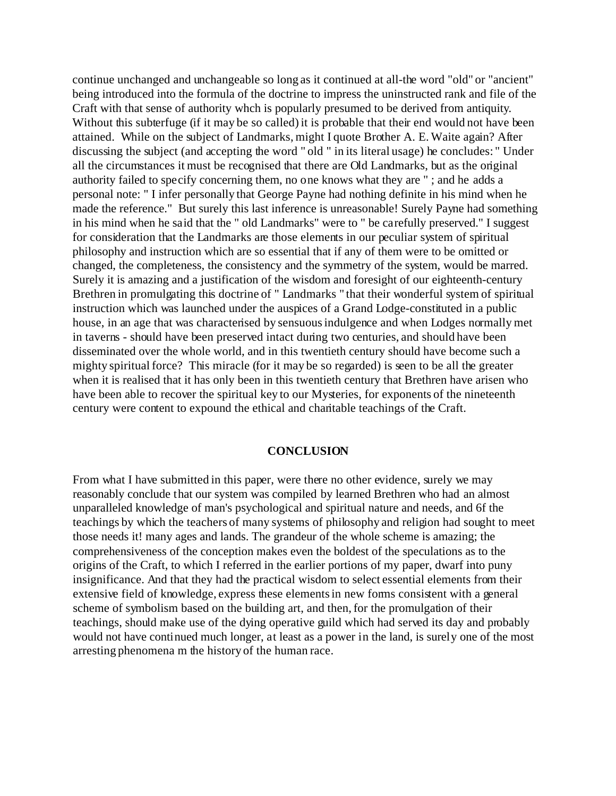continue unchanged and unchangeable so long as it continued at all-the word "old" or "ancient" being introduced into the formula of the doctrine to impress the uninstructed rank and file of the Craft with that sense of authority whch is popularly presumed to be derived from antiquity. Without this subterfuge (if it may be so called) it is probable that their end would not have been attained. While on the subject of Landmarks, might I quote Brother A. E. Waite again? After discussing the subject (and accepting the word " old " in its literal usage) he concludes: " Under all the circumstances it must be recognised that there are Old Landmarks, but as the original authority failed to specify concerning them, no one knows what they are " ; and he adds a personal note: " I infer personally that George Payne had nothing definite in his mind when he made the reference." But surely this last inference is unreasonable! Surely Payne had something in his mind when he said that the " old Landmarks" were to " be carefully preserved." I suggest for consideration that the Landmarks are those elements in our peculiar system of spiritual philosophy and instruction which are so essential that if any of them were to be omitted or changed, the completeness, the consistency and the symmetry of the system, would be marred. Surely it is amazing and a justification of the wisdom and foresight of our eighteenth-century Brethren in promulgating this doctrine of " Landmarks " that their wonderful system of spiritual instruction which was launched under the auspices of a Grand Lodge-constituted in a public house, in an age that was characterised by sensuous indulgence and when Lodges normally met in taverns - should have been preserved intact during two centuries, and should have been disseminated over the whole world, and in this twentieth century should have become such a mighty spiritual force? This miracle (for it may be so regarded) is seen to be all the greater when it is realised that it has only been in this twentieth century that Brethren have arisen who have been able to recover the spiritual key to our Mysteries, for exponents of the nineteenth century were content to expound the ethical and charitable teachings of the Craft.

#### **CONCLUSION**

From what I have submitted in this paper, were there no other evidence, surely we may reasonably conclude that our system was compiled by learned Brethren who had an almost unparalleled knowledge of man's psychological and spiritual nature and needs, and 6f the teachings by which the teachers of many systems of philosophy and religion had sought to meet those needs it! many ages and lands. The grandeur of the whole scheme is amazing; the comprehensiveness of the conception makes even the boldest of the speculations as to the origins of the Craft, to which I referred in the earlier portions of my paper, dwarf into puny insignificance. And that they had the practical wisdom to select essential elements from their extensive field of knowledge, express these elements in new forms consistent with a general scheme of symbolism based on the building art, and then, for the promulgation of their teachings, should make use of the dying operative guild which had served its day and probably would not have continued much longer, at least as a power in the land, is surely one of the most arresting phenomena m the history of the human race.